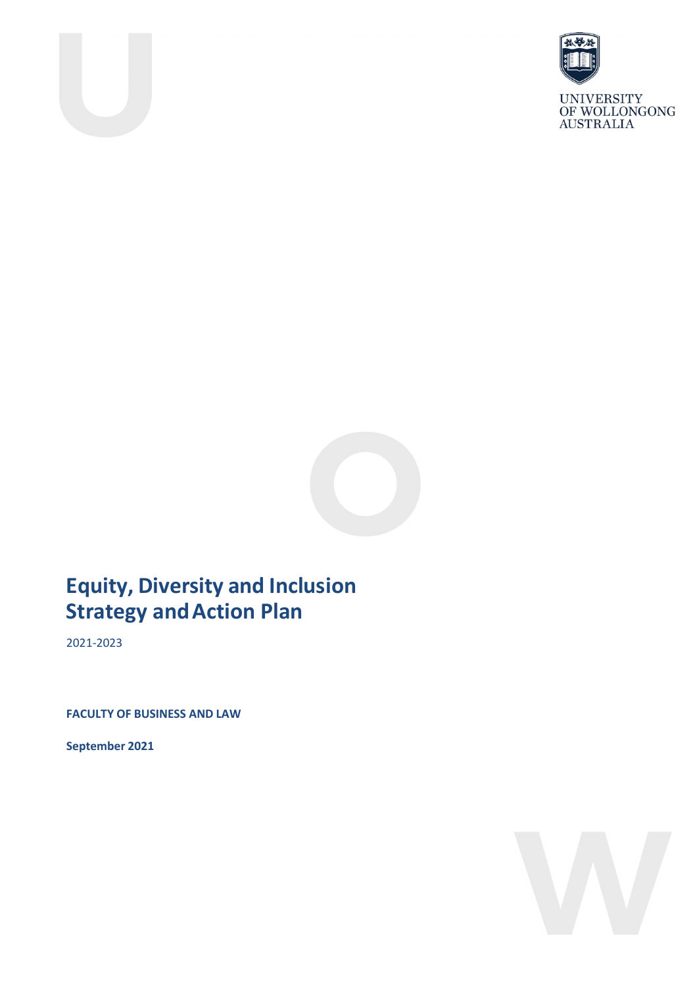



UNIVERSITY<br>OF WOLLONGONG<br>AUSTRALIA



# **Equity, Diversity and Inclusion Strategy and Action Plan**

2021-2023

**FACULTY OF BUSINESS AND LAW**

**September 2021**

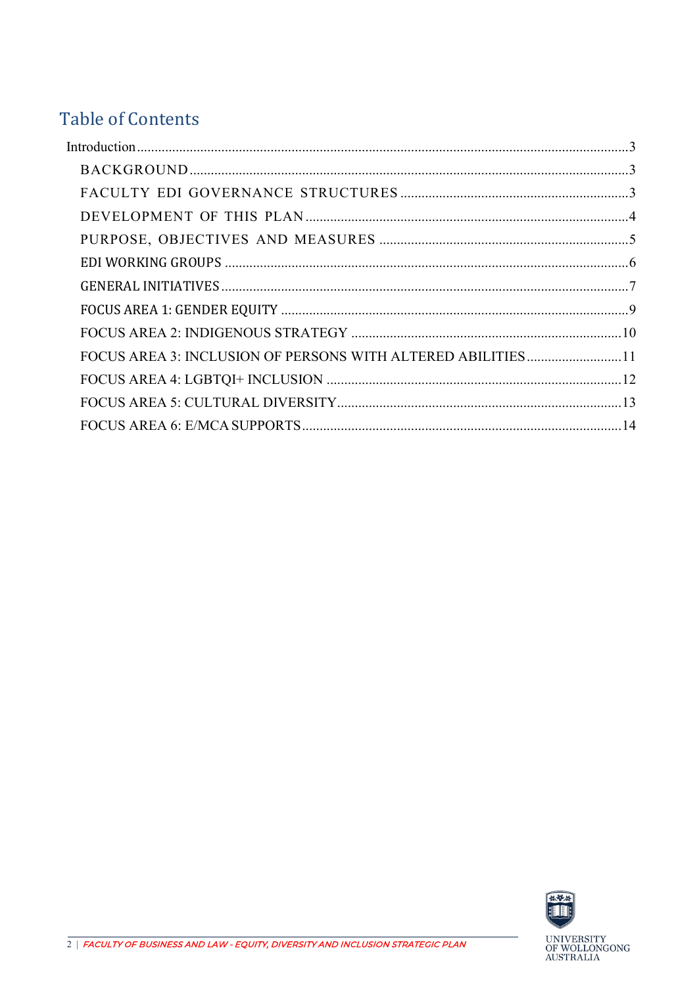## **Table of Contents**

| FOCUS AREA 3: INCLUSION OF PERSONS WITH ALTERED ABILITIES11 |  |
|-------------------------------------------------------------|--|
|                                                             |  |
|                                                             |  |
|                                                             |  |

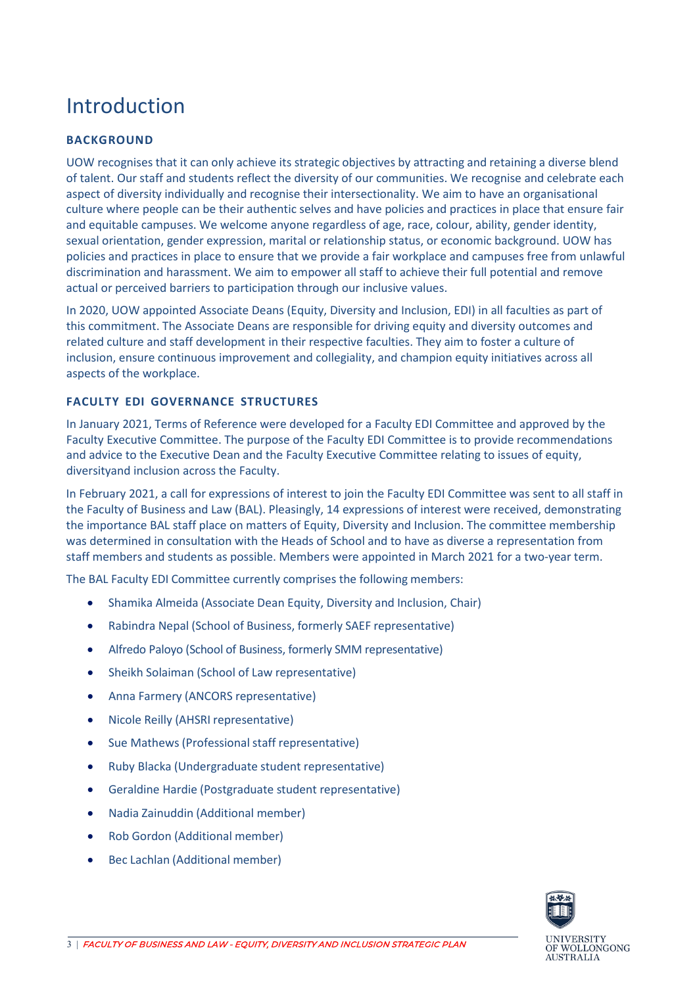# <span id="page-2-0"></span>Introduction

#### <span id="page-2-1"></span>**BACKGROUND**

UOW recognises that it can only achieve its strategic objectives by attracting and retaining a diverse blend of talent. Our staff and students reflect the diversity of our communities. We recognise and celebrate each aspect of diversity individually and recognise their intersectionality. We aim to have an organisational culture where people can be their authentic selves and have policies and practices in place that ensure fair and equitable campuses. We welcome anyone regardless of age, race, colour, ability, gender identity, sexual orientation, gender expression, marital or relationship status, or economic background. UOW has policies and practices in place to ensure that we provide a fair workplace and campuses free from unlawful discrimination and harassment. We aim to empower all staff to achieve their full potential and remove actual or perceived barriers to participation through our inclusive values.

In 2020, UOW appointed Associate Deans (Equity, Diversity and Inclusion, EDI) in all faculties as part of this commitment. The Associate Deans are responsible for driving equity and diversity outcomes and related culture and staff development in their respective faculties. They aim to foster a culture of inclusion, ensure continuous improvement and collegiality, and champion equity initiatives across all aspects of the workplace.

#### <span id="page-2-2"></span>**FACULTY EDI GOVERNANCE STRUCTURES**

In January 2021, Terms of Reference were developed for a Faculty EDI Committee and approved by the Faculty Executive Committee. The purpose of the Faculty EDI Committee is to provide recommendations and advice to the Executive Dean and the Faculty Executive Committee relating to issues of equity, diversityand inclusion across the Faculty.

In February 2021, a call for expressions of interest to join the Faculty EDI Committee was sent to all staff in the Faculty of Business and Law (BAL). Pleasingly, 14 expressions of interest were received, demonstrating the importance BAL staff place on matters of Equity, Diversity and Inclusion. The committee membership was determined in consultation with the Heads of School and to have as diverse a representation from staff members and students as possible. Members were appointed in March 2021 for a two-year term.

The BAL Faculty EDI Committee currently comprises the following members:

- Shamika Almeida (Associate Dean Equity, Diversity and Inclusion, Chair)
- Rabindra Nepal (School of Business, formerly SAEF representative)
- Alfredo Paloyo (School of Business, formerly SMM representative)
- Sheikh Solaiman (School of Law representative)
- Anna Farmery (ANCORS representative)
- Nicole Reilly (AHSRI representative)
- Sue Mathews (Professional staff representative)
- Ruby Blacka (Undergraduate student representative)
- Geraldine Hardie (Postgraduate student representative)
- Nadia Zainuddin (Additional member)
- Rob Gordon (Additional member)
- Bec Lachlan (Additional member)



AUSTRALIA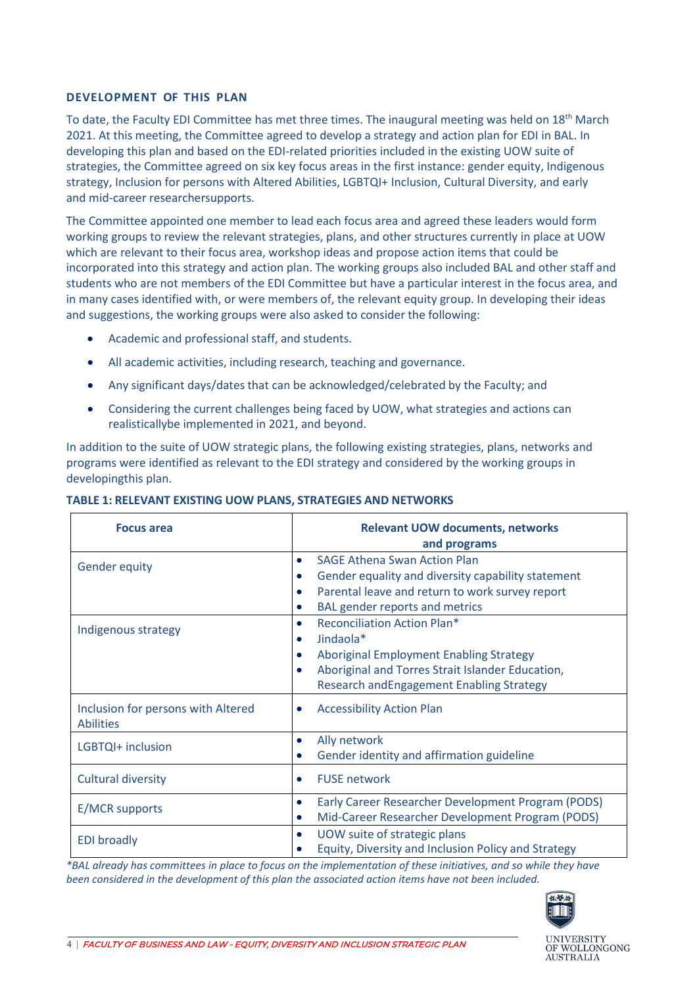#### <span id="page-3-0"></span>**DEVELOPMENT OF THIS PLAN**

To date, the Faculty EDI Committee has met three times. The inaugural meeting was held on 18<sup>th</sup> March 2021. At this meeting, the Committee agreed to develop a strategy and action plan for EDI in BAL. In developing this plan and based on the EDI-related priorities included in the existing UOW suite of strategies, the Committee agreed on six key focus areas in the first instance: gender equity, Indigenous strategy, Inclusion for persons with Altered Abilities, LGBTQI+ Inclusion, Cultural Diversity, and early and mid-career researchersupports.

The Committee appointed one member to lead each focus area and agreed these leaders would form working groups to review the relevant strategies, plans, and other structures currently in place at UOW which are relevant to their focus area, workshop ideas and propose action items that could be incorporated into this strategy and action plan. The working groups also included BAL and other staff and students who are not members of the EDI Committee but have a particular interest in the focus area, and in many cases identified with, or were members of, the relevant equity group. In developing their ideas and suggestions, the working groups were also asked to consider the following:

- Academic and professional staff, and students.
- All academic activities, including research, teaching and governance.
- Any significant days/dates that can be acknowledged/celebrated by the Faculty; and
- Considering the current challenges being faced by UOW, what strategies and actions can realisticallybe implemented in 2021, and beyond.

In addition to the suite of UOW strategic plans, the following existing strategies, plans, networks and programs were identified as relevant to the EDI strategy and considered by the working groups in developingthis plan.

#### **TABLE 1: RELEVANT EXISTING UOW PLANS, STRATEGIES AND NETWORKS**

| <b>Focus area</b>                                      | <b>Relevant UOW documents, networks</b><br>and programs          |
|--------------------------------------------------------|------------------------------------------------------------------|
| <b>Gender equity</b>                                   | <b>SAGE Athena Swan Action Plan</b><br>$\bullet$                 |
|                                                        | Gender equality and diversity capability statement<br>$\bullet$  |
|                                                        | Parental leave and return to work survey report                  |
|                                                        | <b>BAL</b> gender reports and metrics<br>$\bullet$               |
| Indigenous strategy                                    | <b>Reconciliation Action Plan*</b><br>$\bullet$                  |
|                                                        | Jindaola*<br>$\bullet$                                           |
|                                                        | <b>Aboriginal Employment Enabling Strategy</b><br>$\bullet$      |
|                                                        | Aboriginal and Torres Strait Islander Education,<br>$\bullet$    |
|                                                        | <b>Research and Engagement Enabling Strategy</b>                 |
| Inclusion for persons with Altered<br><b>Abilities</b> | <b>Accessibility Action Plan</b><br>$\bullet$                    |
| LGBTQI+ inclusion                                      | Ally network<br>$\bullet$                                        |
|                                                        | Gender identity and affirmation guideline<br>$\bullet$           |
| <b>Cultural diversity</b>                              | <b>FUSE network</b><br>$\bullet$                                 |
| E/MCR supports                                         | Early Career Researcher Development Program (PODS)<br>$\bullet$  |
|                                                        | Mid-Career Researcher Development Program (PODS)<br>$\bullet$    |
| <b>EDI</b> broadly                                     | UOW suite of strategic plans<br>$\bullet$                        |
|                                                        | Equity, Diversity and Inclusion Policy and Strategy<br>$\bullet$ |

*\*BAL already has committees in place to focus on the implementation of these initiatives, and so while they have been considered in the development of this plan the associated action items have not been included.*

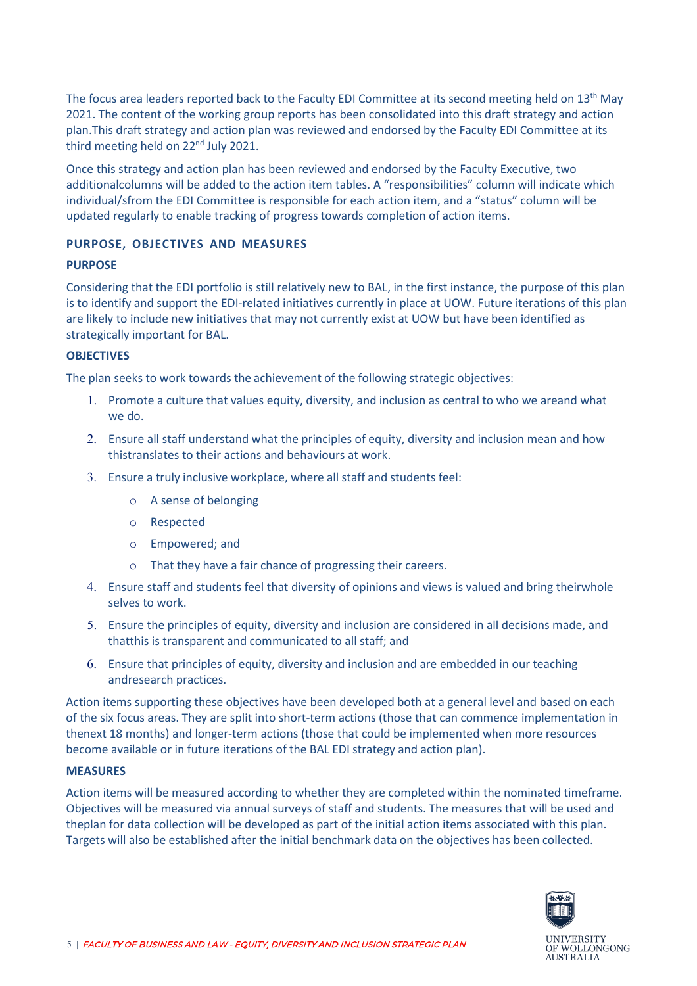The focus area leaders reported back to the Faculty EDI Committee at its second meeting held on 13<sup>th</sup> May 2021. The content of the working group reports has been consolidated into this draft strategy and action plan.This draft strategy and action plan was reviewed and endorsed by the Faculty EDI Committee at its third meeting held on 22<sup>nd</sup> July 2021.

Once this strategy and action plan has been reviewed and endorsed by the Faculty Executive, two additionalcolumns will be added to the action item tables. A "responsibilities" column will indicate which individual/sfrom the EDI Committee is responsible for each action item, and a "status" column will be updated regularly to enable tracking of progress towards completion of action items.

#### <span id="page-4-0"></span>**PURPOSE, OBJECTIVES AND MEASURES**

#### **PURPOSE**

Considering that the EDI portfolio is still relatively new to BAL, in the first instance, the purpose of this plan is to identify and support the EDI-related initiatives currently in place at UOW. Future iterations of this plan are likely to include new initiatives that may not currently exist at UOW but have been identified as strategically important for BAL.

#### **OBJECTIVES**

The plan seeks to work towards the achievement of the following strategic objectives:

- 1. Promote a culture that values equity, diversity, and inclusion as central to who we areand what we do.
- 2. Ensure all staff understand what the principles of equity, diversity and inclusion mean and how thistranslates to their actions and behaviours at work.
- 3. Ensure a truly inclusive workplace, where all staff and students feel:
	- o A sense of belonging
	- o Respected
	- o Empowered; and
	- o That they have a fair chance of progressing their careers.
- 4. Ensure staff and students feel that diversity of opinions and views is valued and bring theirwhole selves to work.
- 5. Ensure the principles of equity, diversity and inclusion are considered in all decisions made, and thatthis is transparent and communicated to all staff; and
- 6. Ensure that principles of equity, diversity and inclusion and are embedded in our teaching andresearch practices.

Action items supporting these objectives have been developed both at a general level and based on each of the six focus areas. They are split into short-term actions (those that can commence implementation in thenext 18 months) and longer-term actions (those that could be implemented when more resources become available or in future iterations of the BAL EDI strategy and action plan).

#### **MEASURES**

Action items will be measured according to whether they are completed within the nominated timeframe. Objectives will be measured via annual surveys of staff and students. The measures that will be used and theplan for data collection will be developed as part of the initial action items associated with this plan. Targets will also be established after the initial benchmark data on the objectives has been collected.

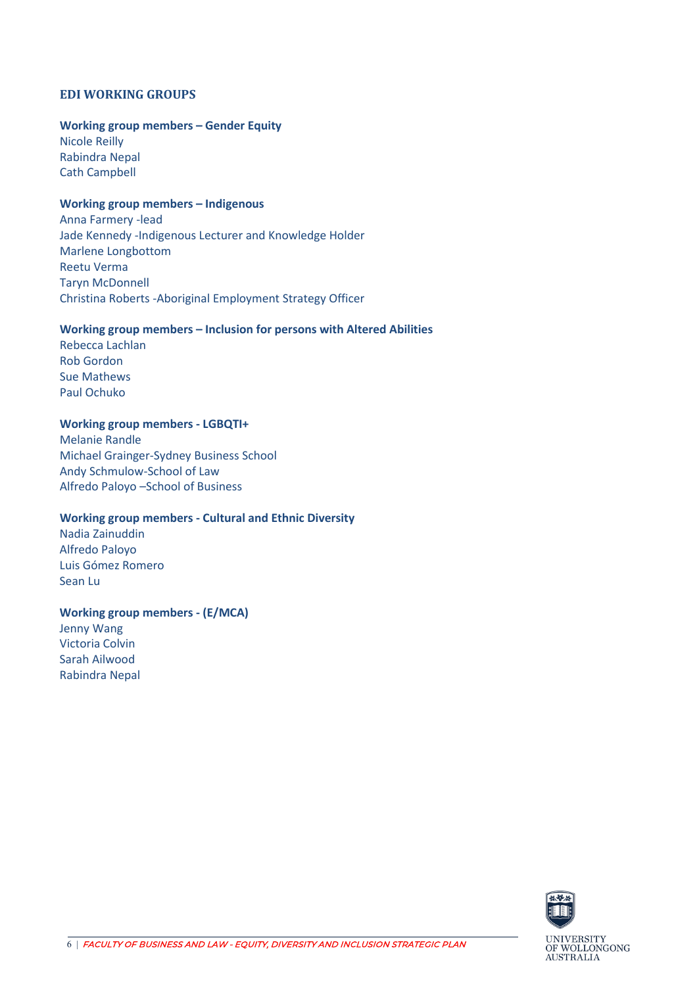#### <span id="page-5-0"></span>**EDI WORKING GROUPS**

#### **Working group members – Gender Equity**

Nicole Reilly Rabindra Nepal Cath Campbell

#### **Working group members – Indigenous**

Anna Farmery -lead Jade Kennedy -Indigenous Lecturer and Knowledge Holder Marlene Longbottom Reetu Verma Taryn McDonnell Christina Roberts -Aboriginal Employment Strategy Officer

#### **Working group members – Inclusion for persons with Altered Abilities**

Rebecca Lachlan Rob Gordon Sue Mathews Paul Ochuko

#### **Working group members - LGBQTI+**

Melanie Randle Michael Grainger-Sydney Business School Andy Schmulow-School of Law Alfredo Paloyo –School of Business

#### **Working group members - Cultural and Ethnic Diversity**

Nadia Zainuddin Alfredo Paloyo Luis Gómez Romero Sean Lu

#### **Working group members - (E/MCA)**

Jenny Wang Victoria Colvin Sarah Ailwood Rabindra Nepal

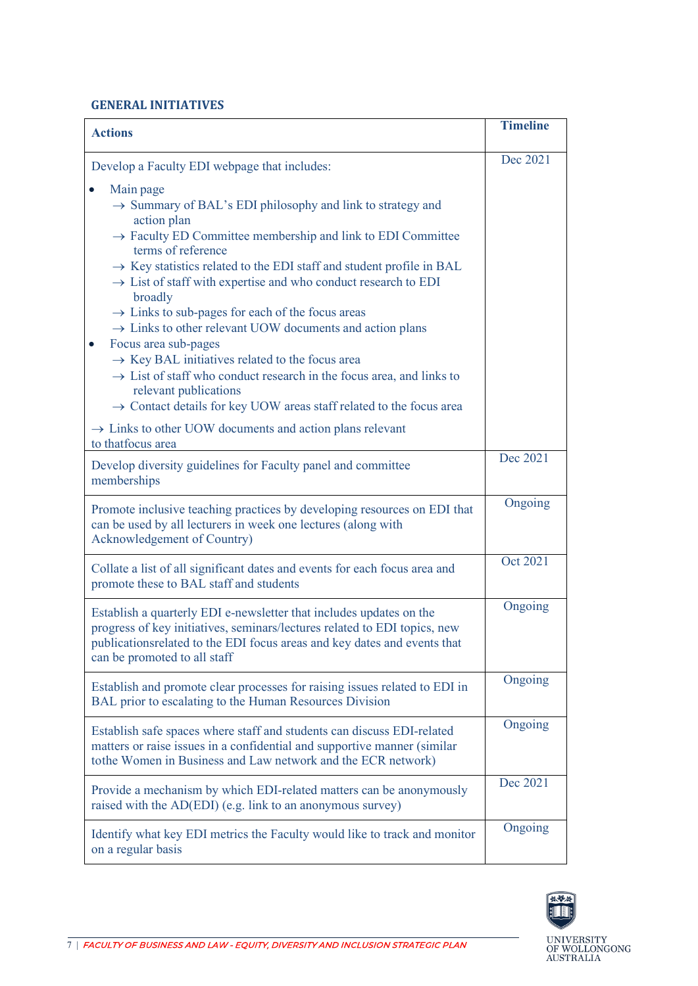#### <span id="page-6-0"></span>**GENERAL INITIATIVES**

| <b>Actions</b>                                                                                                                                                                                                                                                | <b>Timeline</b> |
|---------------------------------------------------------------------------------------------------------------------------------------------------------------------------------------------------------------------------------------------------------------|-----------------|
| Develop a Faculty EDI webpage that includes:                                                                                                                                                                                                                  | Dec 2021        |
| Main page<br>$\rightarrow$ Summary of BAL's EDI philosophy and link to strategy and<br>action plan<br>$\rightarrow$ Faculty ED Committee membership and link to EDI Committee                                                                                 |                 |
| terms of reference<br>$\rightarrow$ Key statistics related to the EDI staff and student profile in BAL<br>$\rightarrow$ List of staff with expertise and who conduct research to EDI<br>broadly                                                               |                 |
| $\rightarrow$ Links to sub-pages for each of the focus areas<br>$\rightarrow$ Links to other relevant UOW documents and action plans<br>Focus area sub-pages                                                                                                  |                 |
| $\rightarrow$ Key BAL initiatives related to the focus area<br>$\rightarrow$ List of staff who conduct research in the focus area, and links to<br>relevant publications<br>$\rightarrow$ Contact details for key UOW areas staff related to the focus area   |                 |
| $\rightarrow$ Links to other UOW documents and action plans relevant<br>to thatfocus area                                                                                                                                                                     |                 |
| Develop diversity guidelines for Faculty panel and committee<br>memberships                                                                                                                                                                                   | Dec 2021        |
| Promote inclusive teaching practices by developing resources on EDI that<br>can be used by all lecturers in week one lectures (along with<br>Acknowledgement of Country)                                                                                      | Ongoing         |
| Collate a list of all significant dates and events for each focus area and<br>promote these to BAL staff and students                                                                                                                                         | Oct 2021        |
| Establish a quarterly EDI e-newsletter that includes updates on the<br>progress of key initiatives, seminars/lectures related to EDI topics, new<br>publications related to the EDI focus areas and key dates and events that<br>can be promoted to all staff | Ongoing         |
| Establish and promote clear processes for raising issues related to EDI in<br>BAL prior to escalating to the Human Resources Division                                                                                                                         | Ongoing         |
| Establish safe spaces where staff and students can discuss EDI-related<br>matters or raise issues in a confidential and supportive manner (similar<br>tothe Women in Business and Law network and the ECR network)                                            | Ongoing         |
| Provide a mechanism by which EDI-related matters can be anonymously<br>raised with the AD(EDI) (e.g. link to an anonymous survey)                                                                                                                             | Dec 2021        |
| Identify what key EDI metrics the Faculty would like to track and monitor<br>on a regular basis                                                                                                                                                               | Ongoing         |

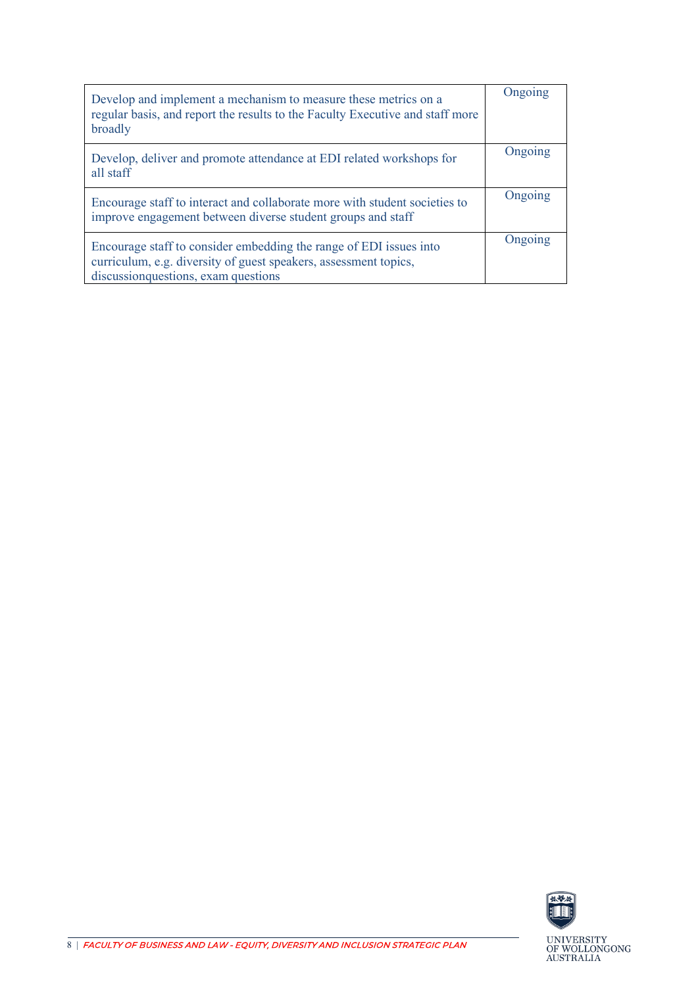| Develop and implement a mechanism to measure these metrics on a<br>regular basis, and report the results to the Faculty Executive and staff more<br>broadly                    | Ongoing |
|--------------------------------------------------------------------------------------------------------------------------------------------------------------------------------|---------|
| Develop, deliver and promote attendance at EDI related workshops for<br>all staff                                                                                              | Ongoing |
| Encourage staff to interact and collaborate more with student societies to<br>improve engagement between diverse student groups and staff                                      | Ongoing |
| Encourage staff to consider embedding the range of EDI issues into<br>curriculum, e.g. diversity of guest speakers, assessment topics,<br>discussion questions, exam questions | Ongoing |

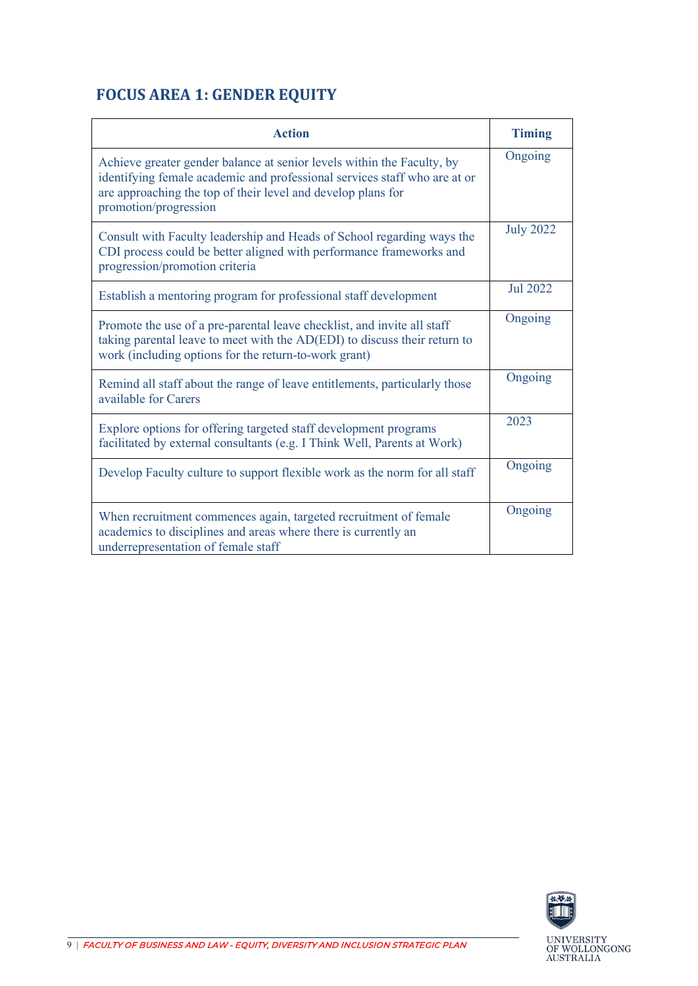## <span id="page-8-0"></span>**FOCUS AREA 1: GENDER EQUITY**

| <b>Action</b>                                                                                                                                                                                                                                | <b>Timing</b>    |
|----------------------------------------------------------------------------------------------------------------------------------------------------------------------------------------------------------------------------------------------|------------------|
| Achieve greater gender balance at senior levels within the Faculty, by<br>identifying female academic and professional services staff who are at or<br>are approaching the top of their level and develop plans for<br>promotion/progression | Ongoing          |
| Consult with Faculty leadership and Heads of School regarding ways the<br>CDI process could be better aligned with performance frameworks and<br>progression/promotion criteria                                                              | <b>July 2022</b> |
| Establish a mentoring program for professional staff development                                                                                                                                                                             | <b>Jul 2022</b>  |
| Promote the use of a pre-parental leave checklist, and invite all staff<br>taking parental leave to meet with the AD(EDI) to discuss their return to<br>work (including options for the return-to-work grant)                                | Ongoing          |
| Remind all staff about the range of leave entitlements, particularly those<br>available for Carers                                                                                                                                           | Ongoing          |
| Explore options for offering targeted staff development programs<br>facilitated by external consultants (e.g. I Think Well, Parents at Work)                                                                                                 | 2023             |
| Develop Faculty culture to support flexible work as the norm for all staff                                                                                                                                                                   | Ongoing          |
| When recruitment commences again, targeted recruitment of female<br>academics to disciplines and areas where there is currently an<br>underrepresentation of female staff                                                                    | Ongoing          |

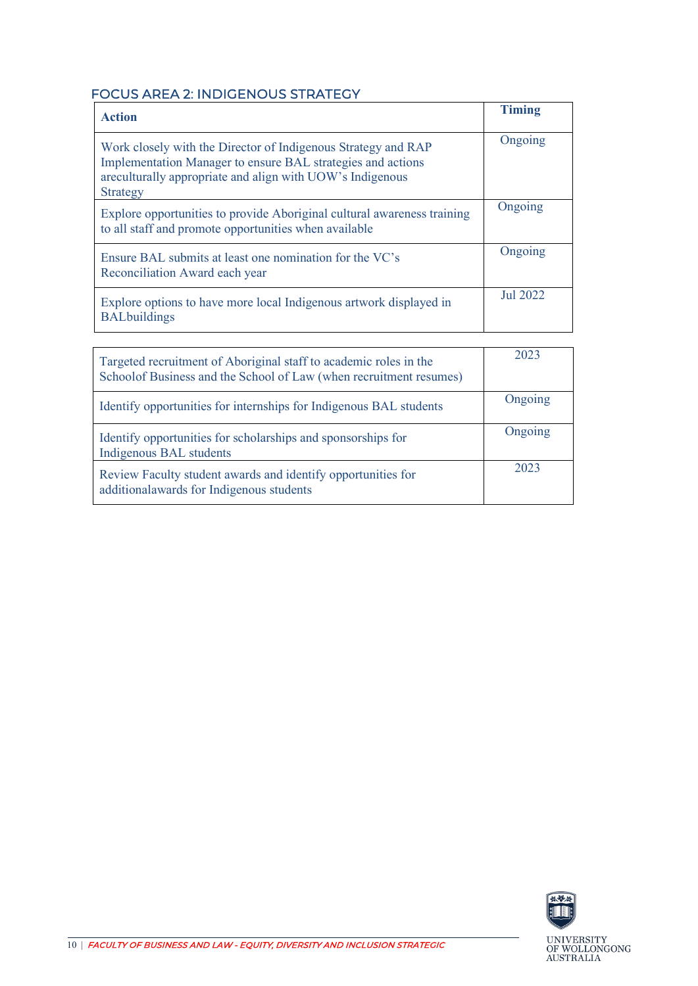### <span id="page-9-0"></span>FOCUS AREA 2: INDIGENOUS STRATEGY

| <b>Action</b>                                                                                                                                                                                         | <b>Timing</b> |
|-------------------------------------------------------------------------------------------------------------------------------------------------------------------------------------------------------|---------------|
| Work closely with the Director of Indigenous Strategy and RAP<br>Implementation Manager to ensure BAL strategies and actions<br>areculturally appropriate and align with UOW's Indigenous<br>Strategy | Ongoing       |
| Explore opportunities to provide Aboriginal cultural awareness training<br>to all staff and promote opportunities when available                                                                      | Ongoing       |
| Ensure BAL submits at least one nomination for the VC's<br>Reconciliation Award each year                                                                                                             | Ongoing       |
| Explore options to have more local Indigenous artwork displayed in<br><b>BALbuildings</b>                                                                                                             | Jul 2022      |

| Targeted recruitment of Aboriginal staff to academic roles in the<br>Schoolof Business and the School of Law (when recruitment resumes) | 2023    |
|-----------------------------------------------------------------------------------------------------------------------------------------|---------|
| Identify opportunities for internships for Indigenous BAL students                                                                      | Ongoing |
| Identify opportunities for scholarships and sponsorships for<br>Indigenous BAL students                                                 | Ongoing |
| Review Faculty student awards and identify opportunities for<br>additionalawards for Indigenous students                                | 2023    |

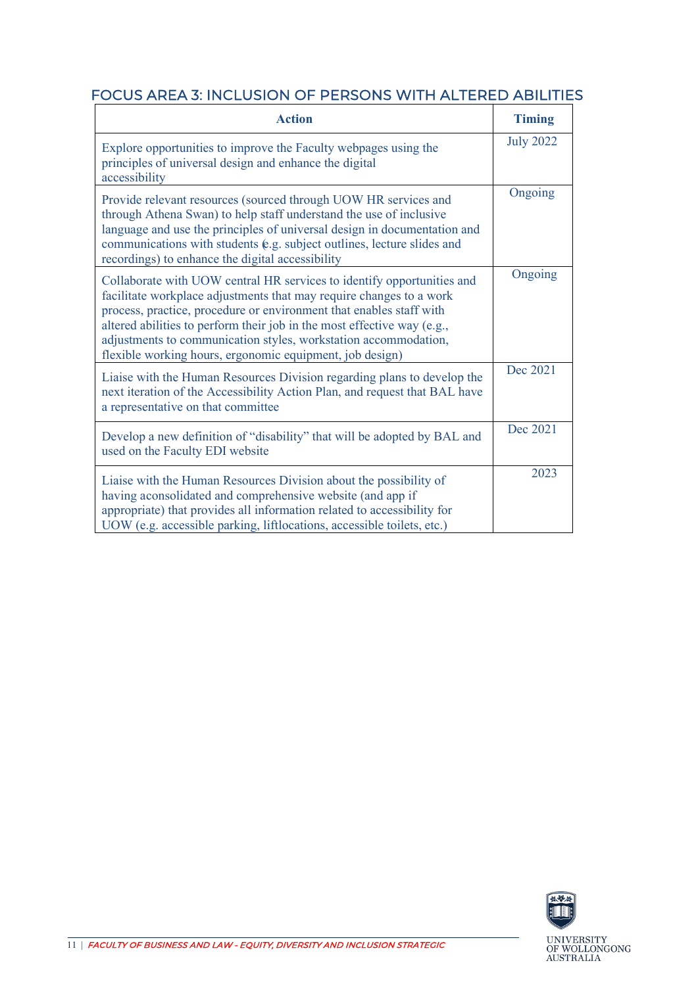### <span id="page-10-0"></span>FOCUS AREA 3: INCLUSION OF PERSONS WITH ALTERED ABILITIES

| <b>Action</b>                                                                                                                                                                                                                                                                                                                                                                                                                  | <b>Timing</b>    |
|--------------------------------------------------------------------------------------------------------------------------------------------------------------------------------------------------------------------------------------------------------------------------------------------------------------------------------------------------------------------------------------------------------------------------------|------------------|
| Explore opportunities to improve the Faculty webpages using the<br>principles of universal design and enhance the digital<br>accessibility                                                                                                                                                                                                                                                                                     | <b>July 2022</b> |
| Provide relevant resources (sourced through UOW HR services and<br>through Athena Swan) to help staff understand the use of inclusive<br>language and use the principles of universal design in documentation and<br>communications with students (e.g. subject outlines, lecture slides and<br>recordings) to enhance the digital accessibility                                                                               | Ongoing          |
| Collaborate with UOW central HR services to identify opportunities and<br>facilitate workplace adjustments that may require changes to a work<br>process, practice, procedure or environment that enables staff with<br>altered abilities to perform their job in the most effective way (e.g.,<br>adjustments to communication styles, workstation accommodation,<br>flexible working hours, ergonomic equipment, job design) | Ongoing          |
| Liaise with the Human Resources Division regarding plans to develop the<br>next iteration of the Accessibility Action Plan, and request that BAL have<br>a representative on that committee                                                                                                                                                                                                                                    | Dec 2021         |
| Develop a new definition of "disability" that will be adopted by BAL and<br>used on the Faculty EDI website                                                                                                                                                                                                                                                                                                                    | Dec 2021         |
| Liaise with the Human Resources Division about the possibility of<br>having aconsolidated and comprehensive website (and app if<br>appropriate) that provides all information related to accessibility for<br>UOW (e.g. accessible parking, liftlocations, accessible toilets, etc.)                                                                                                                                           | 2023             |

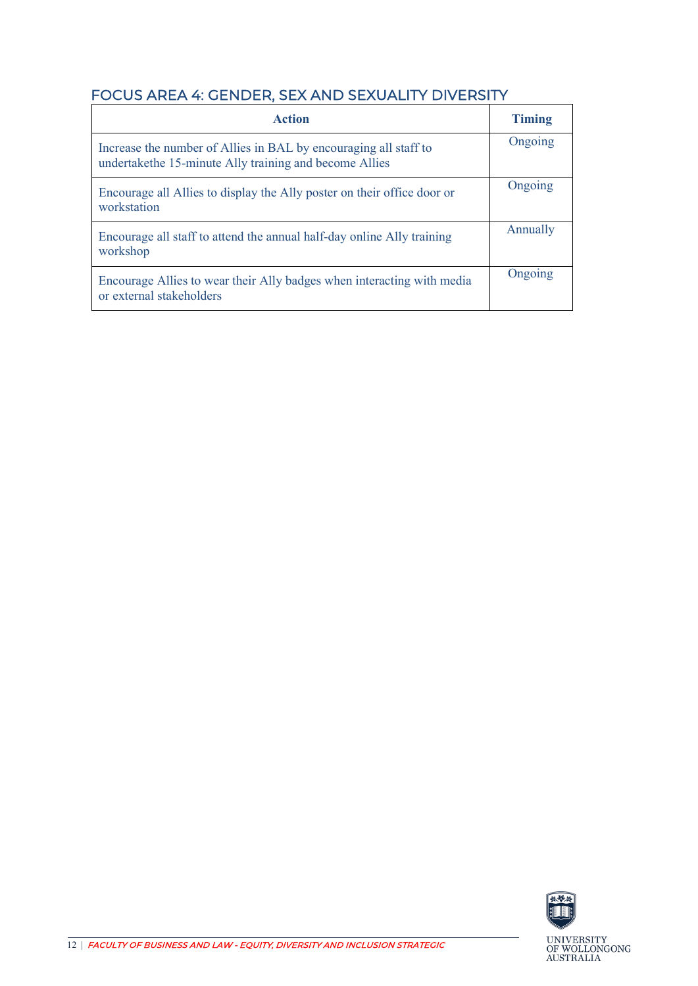## <span id="page-11-0"></span>FOCUS AREA 4: GENDER, SEX AND SEXUALITY DIVERSITY

| <b>Action</b>                                                                                                              | <b>Timing</b> |
|----------------------------------------------------------------------------------------------------------------------------|---------------|
| Increase the number of Allies in BAL by encouraging all staff to<br>undertakethe 15-minute Ally training and become Allies | Ongoing       |
| Encourage all Allies to display the Ally poster on their office door or<br>workstation                                     | Ongoing       |
| Encourage all staff to attend the annual half-day online Ally training<br>workshop                                         | Annually      |
| Encourage Allies to wear their Ally badges when interacting with media<br>or external stakeholders                         | Ongoing       |

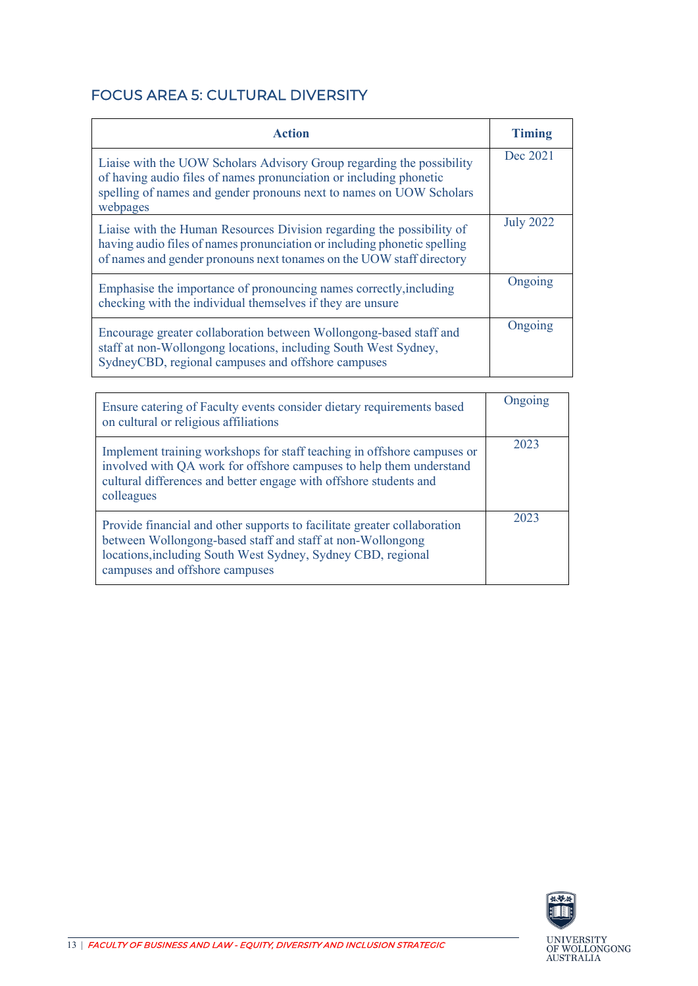## <span id="page-12-0"></span>FOCUS AREA 5: CULTURAL DIVERSITY

| <b>Action</b>                                                                                                                                                                                                                  | <b>Timing</b>    |
|--------------------------------------------------------------------------------------------------------------------------------------------------------------------------------------------------------------------------------|------------------|
| Liaise with the UOW Scholars Advisory Group regarding the possibility<br>of having audio files of names pronunciation or including phonetic<br>spelling of names and gender pronouns next to names on UOW Scholars<br>webpages | Dec 2021         |
| Liaise with the Human Resources Division regarding the possibility of<br>having audio files of names pronunciation or including phonetic spelling<br>of names and gender pronouns next tonames on the UOW staff directory      | <b>July 2022</b> |
| Emphasise the importance of pronouncing names correctly, including<br>checking with the individual themselves if they are unsure                                                                                               | Ongoing          |
| Encourage greater collaboration between Wollongong-based staff and<br>staff at non-Wollongong locations, including South West Sydney,<br>SydneyCBD, regional campuses and offshore campuses                                    | Ongoing          |

| Ensure catering of Faculty events consider dietary requirements based<br>on cultural or religious affiliations                                                                                                                           | Ongoing |
|------------------------------------------------------------------------------------------------------------------------------------------------------------------------------------------------------------------------------------------|---------|
| Implement training workshops for staff teaching in offshore campuses or<br>involved with QA work for offshore campuses to help them understand<br>cultural differences and better engage with offshore students and<br>colleagues        | 2023    |
| Provide financial and other supports to facilitate greater collaboration<br>between Wollongong-based staff and staff at non-Wollongong<br>locations, including South West Sydney, Sydney CBD, regional<br>campuses and offshore campuses | 2023    |